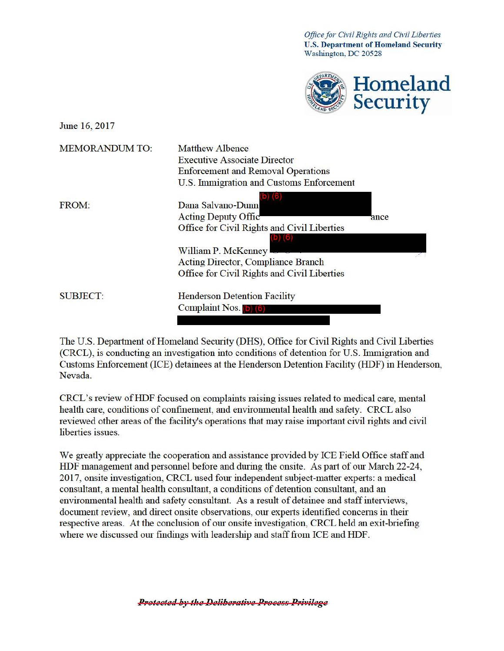*Office for Civil Rights and Civil Liberties* **U.S. Department of Homeland Secmity**  Washington, DC 20528



June 16, 2017

| <b>Matthew Albence</b><br><b>Executive Associate Director</b><br><b>Enforcement and Removal Operations</b><br>U.S. Immigration and Customs Enforcement |                                                                                                    |
|--------------------------------------------------------------------------------------------------------------------------------------------------------|----------------------------------------------------------------------------------------------------|
| Dana Salvano-Dunn                                                                                                                                      |                                                                                                    |
| Office for Civil Rights and Civil Liberties                                                                                                            | ance                                                                                               |
| William P. McKenney<br>Acting Director, Compliance Branch                                                                                              |                                                                                                    |
| <b>Henderson Detention Facility</b>                                                                                                                    |                                                                                                    |
|                                                                                                                                                        | <b>Acting Deputy Offic</b><br>Office for Civil Rights and Civil Liberties<br><b>Complaint Nos.</b> |

The U.S. Department of Homeland Security (DHS), Office for Civil Rights and Civil Liberties (CRCL), is conducting an investigation into conditions of detention for U.S. Immigration and Customs Enforcement (ICE) detainees at the Henderson Detention Facility (HDF) in Henderson, Nevada.

CRCL's review of HDF focused on complaints raising issues related to medical care, mental health care, conditions of confinement, and environmental health and safety. CRCL also reviewed other areas of the facility's operations that may raise important civil rights and civil liberties issues.

We greatly appreciate the cooperation and assistance provided by ICE Field Office staff and HDF management and personnel before and during the onsite. As part of our March 22-24, 2017, onsite investigation, CRCL used four independent subject-matter experts: a medical consultant, a mental health consultant, a conditions of detention consultant, and an environmental health and safety consultant. As a result of detainee and staff interviews, document review, and direct onsite observations, our experts identified concerns in their respective areas. At the conclusion of our onsite investigation, CRCL held an exit-briefing where we discussed our findings with leadership and staff from ICE and HDF.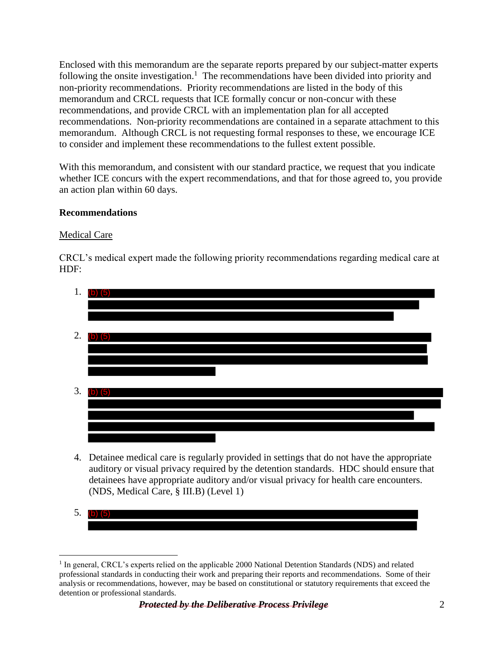following the onsite investigation.<sup>1</sup> The recommendations have been divided into priority and non-priority recommendations. Priority recommendations are listed in the body of this recommendations. Non-priority recommendations are contained in a separate attachment to this to consider and implement these recommendations to the fullest extent possible. Enclosed with this memorandum are the separate reports prepared by our subject-matter experts memorandum and CRCL requests that ICE formally concur or non-concur with these recommendations, and provide CRCL with an implementation plan for all accepted memorandum. Although CRCL is not requesting formal responses to these, we encourage ICE

 an action plan within 60 days. With this memorandum, and consistent with our standard practice, we request that you indicate whether ICE concurs with the expert recommendations, and that for those agreed to, you provide

# **Recommendations**

# Medical Care

 $\overline{a}$ 

CRCL's medical expert made the following priority recommendations regarding medical care at HDF:



- 4. Detainee medical care is regularly provided in settings that do not have the appropriate auditory or visual privacy required by the detention standards. HDC should ensure that detainees have appropriate auditory and/or visual privacy for health care encounters. (NDS, Medical Care, § III.B) (Level 1)
- 5. (b) (5)

 professional standards in conducting their work and preparing their reports and recommendations. Some of their analysis or recommendations, however, may be based on constitutional or statutory requirements that exceed the detention or professional standards. <sup>1</sup> In general, CRCL's experts relied on the applicable 2000 National Detention Standards (NDS) and related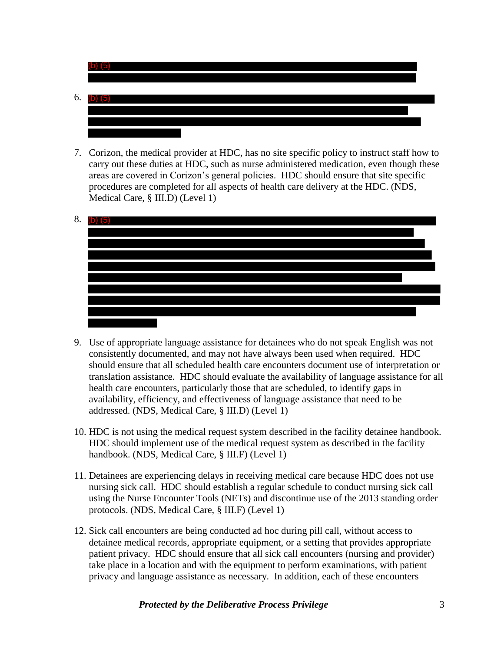

7. Corizon, the medical provider at HDC, has no site specific policy to instruct staff how to carry out these duties at HDC, such as nurse administered medication, even though these areas are covered in Corizon's general policies. HDC should ensure that site specific procedures are completed for all aspects of health care delivery at the HDC. (NDS, Medical Care, § III.D) (Level 1)



- translation assistance. HDC should evaluate the availability of language assistance for all addressed. (NDS, Medical Care, § III.D) (Level 1) 9. Use of appropriate language assistance for detainees who do not speak English was not consistently documented, and may not have always been used when required. HDC should ensure that all scheduled health care encounters document use of interpretation or health care encounters, particularly those that are scheduled, to identify gaps in availability, efficiency, and effectiveness of language assistance that need to be
- 10. HDC is not using the medical request system described in the facility detainee handbook. HDC should implement use of the medical request system as described in the facility handbook. (NDS, Medical Care, § III.F) (Level 1)
- 11. Detainees are experiencing delays in receiving medical care because HDC does not use nursing sick call. HDC should establish a regular schedule to conduct nursing sick call using the Nurse Encounter Tools (NETs) and discontinue use of the 2013 standing order protocols. (NDS, Medical Care, § III.F) (Level 1)
- 12. Sick call encounters are being conducted ad hoc during pill call, without access to detainee medical records, appropriate equipment, or a setting that provides appropriate patient privacy. HDC should ensure that all sick call encounters (nursing and provider) take place in a location and with the equipment to perform examinations, with patient privacy and language assistance as necessary. In addition, each of these encounters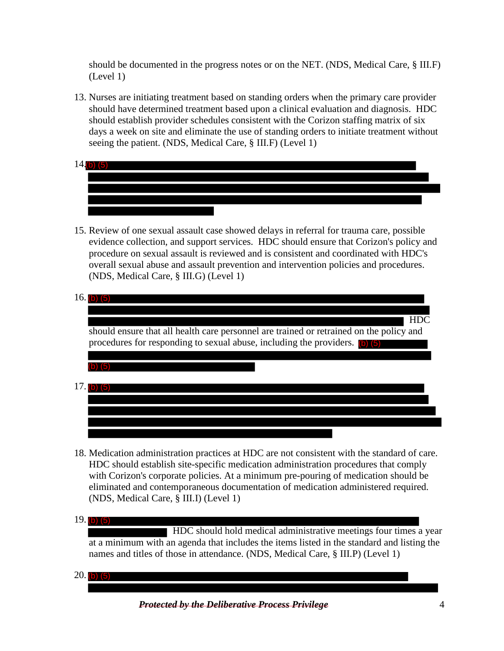should be documented in the progress notes or on the NET. (NDS, Medical Care, § III.F) (Level 1)

- 13. Nurses are initiating treatment based on standing orders when the primary care provider should have determined treatment based upon a clinical evaluation and diagnosis. HDC should establish provider schedules consistent with the Corizon staffing matrix of six days a week on site and eliminate the use of standing orders to initiate treatment without seeing the patient. (NDS, Medical Care, § III.F) (Level 1)
- $14.$ (b)  $(5)$
- 15. Review of one sexual assault case showed delays in referral for trauma care, possible evidence collection, and support services. HDC should ensure that Corizon's policy and procedure on sexual assault is reviewed and is consistent and coordinated with HDC's overall sexual abuse and assault prevention and intervention policies and procedures. (NDS, Medical Care, § III.G) (Level 1)

| HD <sub>C</sub>                                                                         |
|-----------------------------------------------------------------------------------------|
| should ensure that all health care personnel are trained or retrained on the policy and |
| procedures for responding to sexual abuse, including the providers. (b) (5)             |
|                                                                                         |
|                                                                                         |
|                                                                                         |
|                                                                                         |
|                                                                                         |
|                                                                                         |
|                                                                                         |

18. Medication administration practices at HDC are not consistent with the standard of care. HDC should establish site-specific medication administration procedures that comply with Corizon's corporate policies. At a minimum pre-pouring of medication should be eliminated and contemporaneous documentation of medication administered required. (NDS, Medical Care, § III.I) (Level 1)

 HDC should hold medical administrative meetings four times a year at a minimum with an agenda that includes the items listed in the standard and listing the names and titles of those in attendance. (NDS, Medical Care, § III.P) (Level 1)

20. (b) (5)

 *Protected by the Deliberative Process Privilege* 4

<sup>19.</sup> (b) (5)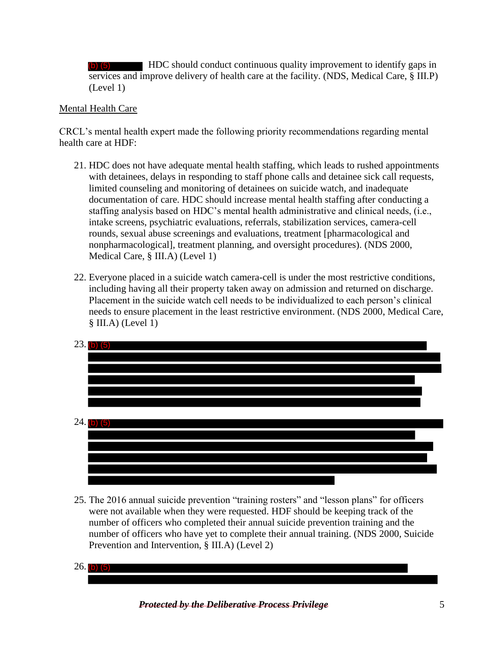(b) (5) HDC should conduct continuous quality improvement to identify gaps in services and improve delivery of health care at the facility. (NDS, Medical Care, § III.P) (Level 1)

# Mental Health Care

CRCL's mental health expert made the following priority recommendations regarding mental health care at HDF:

- Medical Care, § III.A) (Level 1) 21. HDC does not have adequate mental health staffing, which leads to rushed appointments with detainees, delays in responding to staff phone calls and detainee sick call requests, limited counseling and monitoring of detainees on suicide watch, and inadequate documentation of care. HDC should increase mental health staffing after conducting a staffing analysis based on HDC's mental health administrative and clinical needs, (i.e., intake screens, psychiatric evaluations, referrals, stabilization services, camera-cell rounds, sexual abuse screenings and evaluations, treatment [pharmacological and nonpharmacological], treatment planning, and oversight procedures). (NDS 2000,
- § III.A) (Level 1) 22. Everyone placed in a suicide watch camera-cell is under the most restrictive conditions, including having all their property taken away on admission and returned on discharge. Placement in the suicide watch cell needs to be individualized to each person's clinical needs to ensure placement in the least restrictive environment. (NDS 2000, Medical Care,



 were not available when they were requested. HDF should be keeping track of the Prevention and Intervention, § III.A) (Level 2) 25. The 2016 annual suicide prevention "training rosters" and "lesson plans" for officers number of officers who completed their annual suicide prevention training and the number of officers who have yet to complete their annual training. (NDS 2000, Suicide

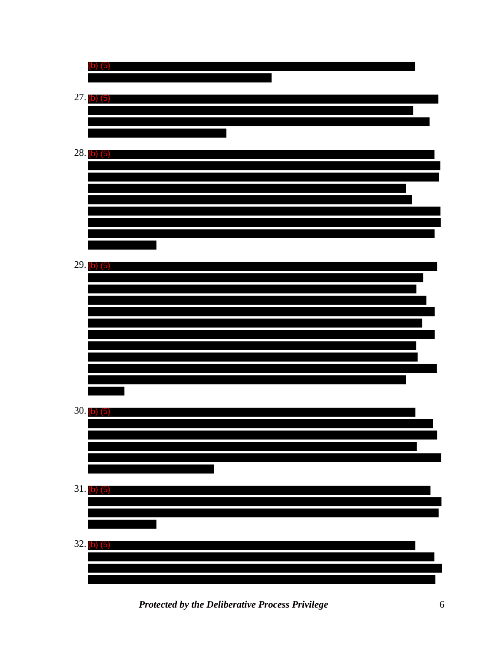| $(b)$ $(5)$     |  |
|-----------------|--|
| $27.$ (b) $(5)$ |  |
|                 |  |
|                 |  |
| $28.$ (b) $(5)$ |  |
|                 |  |
|                 |  |
|                 |  |
|                 |  |
|                 |  |
| $29.$ (b) $(5)$ |  |
|                 |  |
|                 |  |
|                 |  |
|                 |  |
|                 |  |
|                 |  |
| $30.$ (b) $(5)$ |  |
|                 |  |
|                 |  |
|                 |  |
| $31.$ (b) $(5)$ |  |
|                 |  |
|                 |  |
| $32.$ (b) $(5)$ |  |
|                 |  |

 *Protected by the Deliberative Process Privilege* 6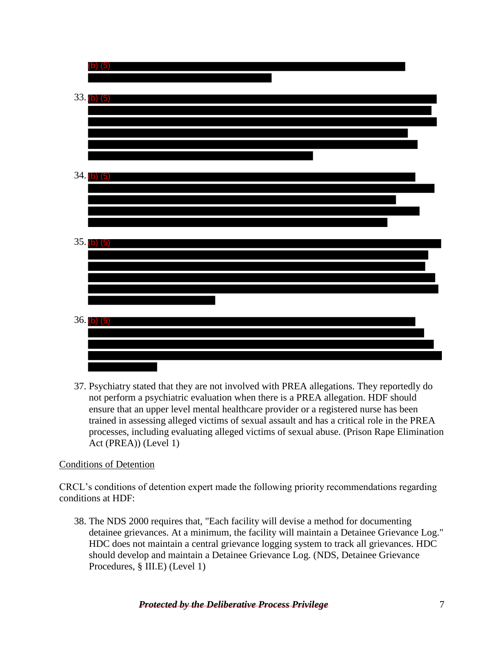

 Act (PREA)) (Level 1) 37. Psychiatry stated that they are not involved with PREA allegations. They reportedly do not perform a psychiatric evaluation when there is a PREA allegation. HDF should ensure that an upper level mental healthcare provider or a registered nurse has been trained in assessing alleged victims of sexual assault and has a critical role in the PREA processes, including evaluating alleged victims of sexual abuse. (Prison Rape Elimination

### Conditions of Detention

CRCL's conditions of detention expert made the following priority recommendations regarding conditions at HDF:

 detainee grievances. At a minimum, the facility will maintain a Detainee Grievance Log." 38. The NDS 2000 requires that, "Each facility will devise a method for documenting HDC does not maintain a central grievance logging system to track all grievances. HDC should develop and maintain a Detainee Grievance Log. (NDS, Detainee Grievance Procedures, § III.E) (Level 1)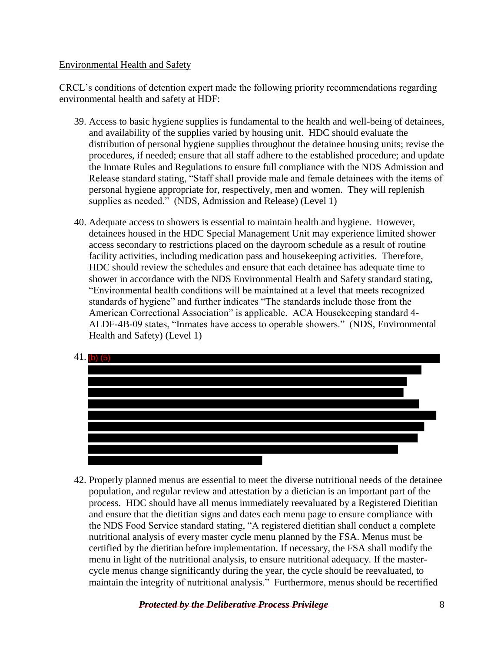### Environmental Health and Safety

CRCL's conditions of detention expert made the following priority recommendations regarding environmental health and safety at HDF:

- 39. Access to basic hygiene supplies is fundamental to the health and well-being of detainees, and availability of the supplies varied by housing unit. HDC should evaluate the distribution of personal hygiene supplies throughout the detainee housing units; revise the procedures, if needed; ensure that all staff adhere to the established procedure; and update the Inmate Rules and Regulations to ensure full compliance with the NDS Admission and Release standard stating, "Staff shall provide male and female detainees with the items of personal hygiene appropriate for, respectively, men and women. They will replenish supplies as needed." (NDS, Admission and Release) (Level 1)
- access secondary to restrictions placed on the dayroom schedule as a result of routine standards of hygiene" and further indicates "The standards include those from the 40. Adequate access to showers is essential to maintain health and hygiene. However, detainees housed in the HDC Special Management Unit may experience limited shower facility activities, including medication pass and housekeeping activities. Therefore, HDC should review the schedules and ensure that each detainee has adequate time to shower in accordance with the NDS Environmental Health and Safety standard stating, "Environmental health conditions will be maintained at a level that meets recognized American Correctional Association" is applicable. ACA Housekeeping standard 4- ALDF-4B-09 states, "Inmates have access to operable showers." (NDS, Environmental Health and Safety) (Level 1)



 maintain the integrity of nutritional analysis." Furthermore, menus should be recertified 42. Properly planned menus are essential to meet the diverse nutritional needs of the detainee population, and regular review and attestation by a dietician is an important part of the process. HDC should have all menus immediately reevaluated by a Registered Dietitian and ensure that the dietitian signs and dates each menu page to ensure compliance with the NDS Food Service standard stating, "A registered dietitian shall conduct a complete nutritional analysis of every master cycle menu planned by the FSA. Menus must be certified by the dietitian before implementation. If necessary, the FSA shall modify the menu in light of the nutritional analysis, to ensure nutritional adequacy. If the mastercycle menus change significantly during the year, the cycle should be reevaluated, to

 *Protected by the Deliberative Process Privilege* 8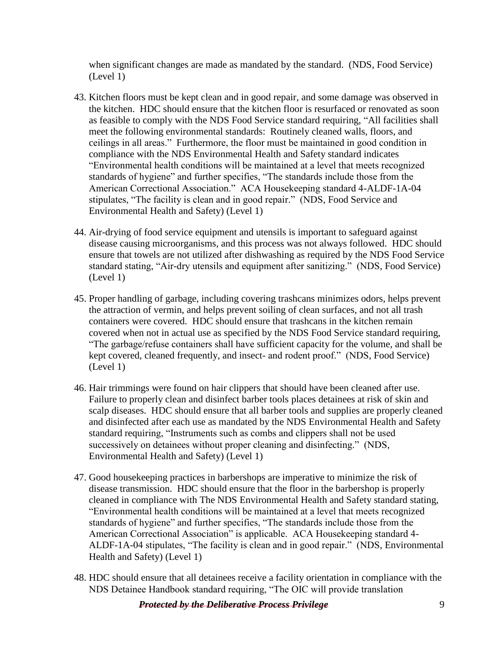when significant changes are made as mandated by the standard. (NDS, Food Service) (Level 1)

- 43. Kitchen floors must be kept clean and in good repair, and some damage was observed in the kitchen. HDC should ensure that the kitchen floor is resurfaced or renovated as soon as feasible to comply with the NDS Food Service standard requiring, "All facilities shall meet the following environmental standards: Routinely cleaned walls, floors, and ceilings in all areas." Furthermore, the floor must be maintained in good condition in compliance with the NDS Environmental Health and Safety standard indicates "Environmental health conditions will be maintained at a level that meets recognized standards of hygiene" and further specifies, "The standards include those from the American Correctional Association." ACA Housekeeping standard 4-ALDF-1A-04 stipulates, "The facility is clean and in good repair." (NDS, Food Service and Environmental Health and Safety) (Level 1)
- standard stating, "Air-dry utensils and equipment after sanitizing." (NDS, Food Service) 44. Air-drying of food service equipment and utensils is important to safeguard against disease causing microorganisms, and this process was not always followed. HDC should ensure that towels are not utilized after dishwashing as required by the NDS Food Service (Level 1)
- containers were covered. HDC should ensure that trashcans in the kitchen remain kept covered, cleaned frequently, and insect- and rodent proof." (NDS, Food Service) (Level 1) 45. Proper handling of garbage, including covering trashcans minimizes odors, helps prevent the attraction of vermin, and helps prevent soiling of clean surfaces, and not all trash covered when not in actual use as specified by the NDS Food Service standard requiring, "The garbage/refuse containers shall have sufficient capacity for the volume, and shall be
- 46. Hair trimmings were found on hair clippers that should have been cleaned after use. Failure to properly clean and disinfect barber tools places detainees at risk of skin and scalp diseases. HDC should ensure that all barber tools and supplies are properly cleaned and disinfected after each use as mandated by the NDS Environmental Health and Safety standard requiring, "Instruments such as combs and clippers shall not be used successively on detainees without proper cleaning and disinfecting." (NDS, Environmental Health and Safety) (Level 1)
- ALDF-1A-04 stipulates, "The facility is clean and in good repair." (NDS, Environmental 47. Good housekeeping practices in barbershops are imperative to minimize the risk of disease transmission. HDC should ensure that the floor in the barbershop is properly cleaned in compliance with The NDS Environmental Health and Safety standard stating, "Environmental health conditions will be maintained at a level that meets recognized standards of hygiene" and further specifies, "The standards include those from the American Correctional Association" is applicable. ACA Housekeeping standard 4- Health and Safety) (Level 1)
- 48. HDC should ensure that all detainees receive a facility orientation in compliance with the NDS Detainee Handbook standard requiring, "The OIC will provide translation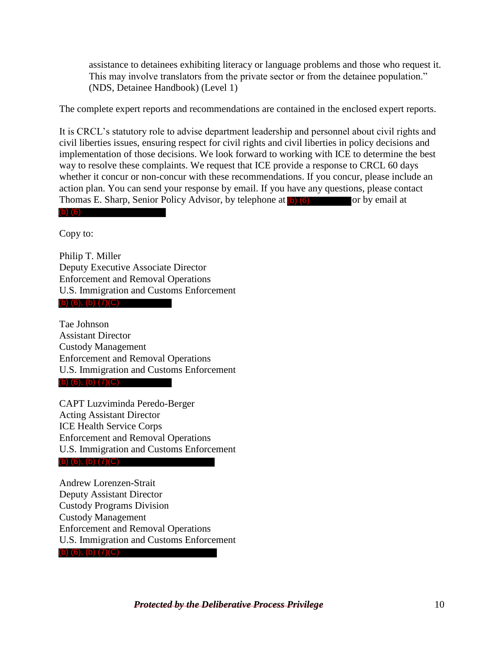assistance to detainees exhibiting literacy or language problems and those who request it. This may involve translators from the private sector or from the detainee population." (NDS, Detainee Handbook) (Level 1)

The complete expert reports and recommendations are contained in the enclosed expert reports.

It is CRCL's statutory role to advise department leadership and personnel about civil rights and civil liberties issues, ensuring respect for civil rights and civil liberties in policy decisions and implementation of those decisions. We look forward to working with ICE to determine the best way to resolve these complaints. We request that ICE provide a response to CRCL 60 days whether it concur or non-concur with these recommendations. If you concur, please include an action plan. You can send your response by email. If you have any questions, please contact Thomas E. Sharp, Senior Policy Advisor, by telephone at (b) (6) or by email at

(b) (6)

Copy to:

 Deputy Executive Associate Director Philip T. Miller Enforcement and Removal Operations U.S. Immigration and Customs Enforcement

(b) (6), (b) (7)(C)

 Assistant Director Tae Johnson Custody Management Enforcement and Removal Operations U.S. Immigration and Customs Enforcement (b) (6), (b) (7)(C)

CAPT Luzviminda Peredo-Berger Acting Assistant Director ICE Health Service Corps Enforcement and Removal Operations U.S. Immigration and Customs Enforcement

(b) (6), (b) (7)(C)

 Deputy Assistant Director Andrew Lorenzen-Strait Custody Programs Division Custody Management Enforcement and Removal Operations U.S. Immigration and Customs Enforcement (b) (6), (b) (7)(C)